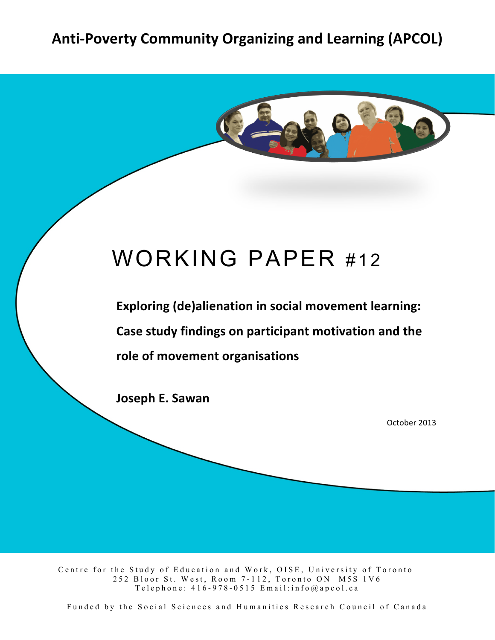# Anti-Poverty Community Organizing and Learning (APCOL)



# WORKING PAPER #12

**Exploring (de)alienation in social movement learning:** Case study findings on participant motivation and the role of movement organisations

**Joseph E. Sawan** 

October 2013

Centre for the Study of Education and Work, OISE, University of Toronto 252 Bloor St. West, Room 7 - 112, Toronto ON M5S 1V6 Telephone:  $416 - 978 - 0515$  Email: info@apcol.ca

Funded by the Social Sciences and Humanities Research Council of Canada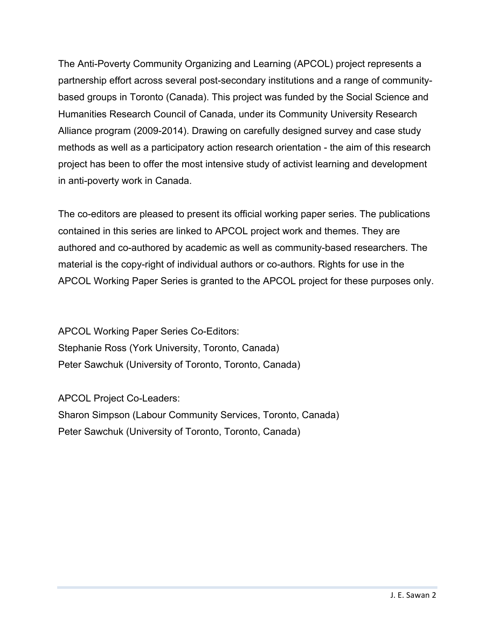The Anti-Poverty Community Organizing and Learning (APCOL) project represents a partnership effort across several post-secondary institutions and a range of communitybased groups in Toronto (Canada). This project was funded by the Social Science and Humanities Research Council of Canada, under its Community University Research Alliance program (2009-2014). Drawing on carefully designed survey and case study methods as well as a participatory action research orientation - the aim of this research project has been to offer the most intensive study of activist learning and development in anti-poverty work in Canada.

The co-editors are pleased to present its official working paper series. The publications contained in this series are linked to APCOL project work and themes. They are authored and co-authored by academic as well as community-based researchers. The material is the copy-right of individual authors or co-authors. Rights for use in the APCOL Working Paper Series is granted to the APCOL project for these purposes only.

APCOL Working Paper Series Co-Editors: Stephanie Ross (York University, Toronto, Canada) Peter Sawchuk (University of Toronto, Toronto, Canada)

APCOL Project Co-Leaders: Sharon Simpson (Labour Community Services, Toronto, Canada) Peter Sawchuk (University of Toronto, Toronto, Canada)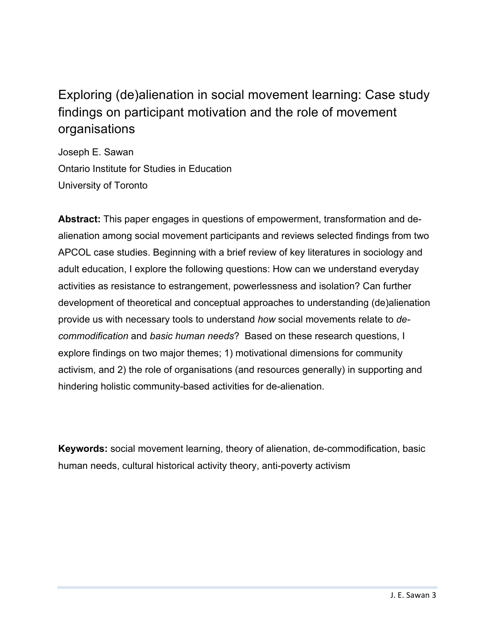### Exploring (de)alienation in social movement learning: Case study findings on participant motivation and the role of movement organisations

Joseph E. Sawan Ontario Institute for Studies in Education University of Toronto

**Abstract:** This paper engages in questions of empowerment, transformation and dealienation among social movement participants and reviews selected findings from two APCOL case studies. Beginning with a brief review of key literatures in sociology and adult education, I explore the following questions: How can we understand everyday activities as resistance to estrangement, powerlessness and isolation? Can further development of theoretical and conceptual approaches to understanding (de)alienation provide us with necessary tools to understand *how* social movements relate to *decommodification* and *basic human needs*? Based on these research questions, I explore findings on two major themes; 1) motivational dimensions for community activism, and 2) the role of organisations (and resources generally) in supporting and hindering holistic community-based activities for de-alienation.

**Keywords:** social movement learning, theory of alienation, de-commodification, basic human needs, cultural historical activity theory, anti-poverty activism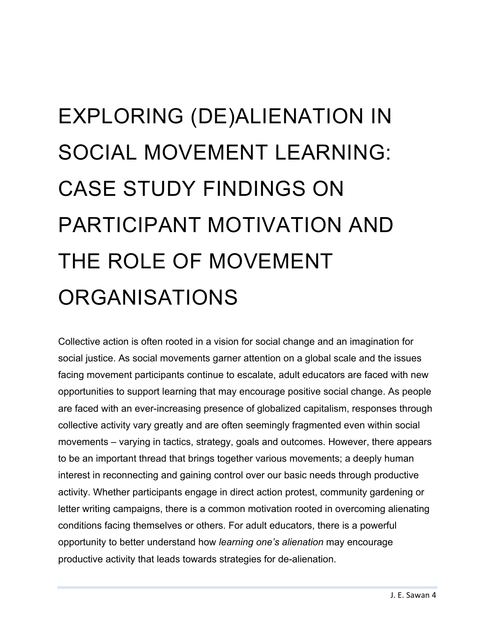# EXPLORING (DE)ALIENATION IN SOCIAL MOVEMENT LEARNING: CASE STUDY FINDINGS ON PARTICIPANT MOTIVATION AND THE ROLE OF MOVEMENT ORGANISATIONS

Collective action is often rooted in a vision for social change and an imagination for social justice. As social movements garner attention on a global scale and the issues facing movement participants continue to escalate, adult educators are faced with new opportunities to support learning that may encourage positive social change. As people are faced with an ever-increasing presence of globalized capitalism, responses through collective activity vary greatly and are often seemingly fragmented even within social movements – varying in tactics, strategy, goals and outcomes. However, there appears to be an important thread that brings together various movements; a deeply human interest in reconnecting and gaining control over our basic needs through productive activity. Whether participants engage in direct action protest, community gardening or letter writing campaigns, there is a common motivation rooted in overcoming alienating conditions facing themselves or others. For adult educators, there is a powerful opportunity to better understand how *learning one's alienation* may encourage productive activity that leads towards strategies for de-alienation.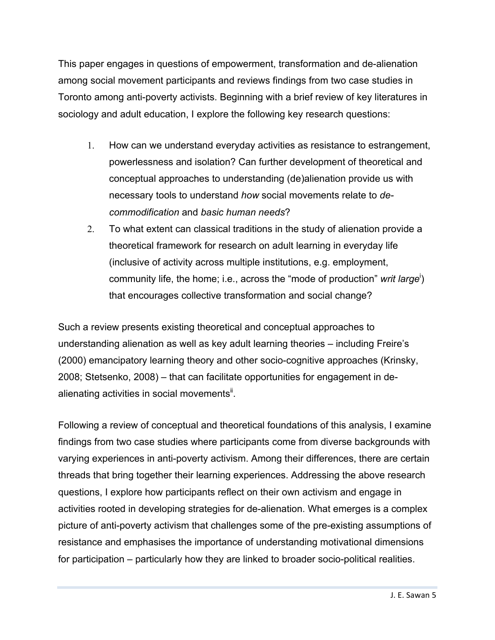This paper engages in questions of empowerment, transformation and de-alienation among social movement participants and reviews findings from two case studies in Toronto among anti-poverty activists. Beginning with a brief review of key literatures in sociology and adult education, I explore the following key research questions:

- 1. How can we understand everyday activities as resistance to estrangement, powerlessness and isolation? Can further development of theoretical and conceptual approaches to understanding (de)alienation provide us with necessary tools to understand *how* social movements relate to *decommodification* and *basic human needs*?
- 2. To what extent can classical traditions in the study of alienation provide a theoretical framework for research on adult learning in everyday life (inclusive of activity across multiple institutions, e.g. employment, community life, the home; i.e., across the "mode of production" *writ large*<sup>i</sup>) that encourages collective transformation and social change?

Such a review presents existing theoretical and conceptual approaches to understanding alienation as well as key adult learning theories – including Freire's (2000) emancipatory learning theory and other socio-cognitive approaches (Krinsky, 2008; Stetsenko, 2008) – that can facilitate opportunities for engagement in dealienating activities in social movements<sup>ii</sup>.

Following a review of conceptual and theoretical foundations of this analysis, I examine findings from two case studies where participants come from diverse backgrounds with varying experiences in anti-poverty activism. Among their differences, there are certain threads that bring together their learning experiences. Addressing the above research questions, I explore how participants reflect on their own activism and engage in activities rooted in developing strategies for de-alienation. What emerges is a complex picture of anti-poverty activism that challenges some of the pre-existing assumptions of resistance and emphasises the importance of understanding motivational dimensions for participation – particularly how they are linked to broader socio-political realities.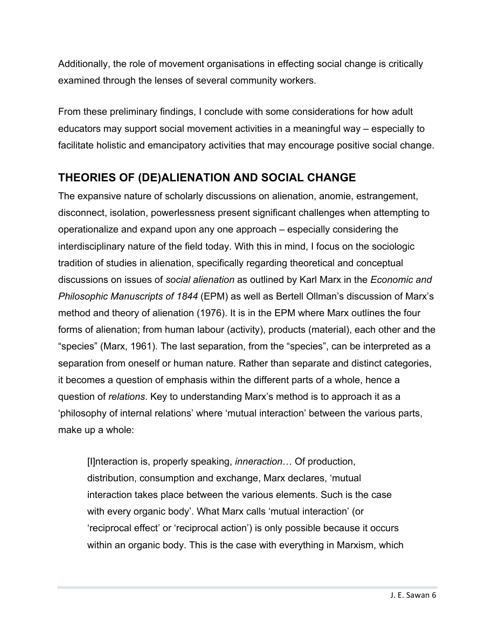Additionally, the role of movement organisations in effecting social change is critically examined through the lenses of several community workers.

From these preliminary findings, I conclude with some considerations for how adult educators may support social movement activities in a meaningful way – especially to facilitate holistic and emancipatory activities that may encourage positive social change.

#### **THEORIES OF (DE)ALIENATION AND SOCIAL CHANGE**

The expansive nature of scholarly discussions on alienation, anomie, estrangement, disconnect, isolation, powerlessness present significant challenges when attempting to operationalize and expand upon any one approach – especially considering the interdisciplinary nature of the field today. With this in mind, I focus on the sociologic tradition of studies in alienation, specifically regarding theoretical and conceptual discussions on issues of *social alienation* as outlined by Karl Marx in the *Economic and Philosophic Manuscripts of 1844* (EPM) as well as Bertell Ollman's discussion of Marx's method and theory of alienation (1976). It is in the EPM where Marx outlines the four forms of alienation; from human labour (activity), products (material), each other and the "species" (Marx, 1961). The last separation, from the "species", can be interpreted as a separation from oneself or human nature. Rather than separate and distinct categories, it becomes a question of emphasis within the different parts of a whole, hence a question of *relations*. Key to understanding Marx's method is to approach it as a 'philosophy of internal relations' where 'mutual interaction' between the various parts, make up a whole:

[I]nteraction is, properly speaking, *inneraction*… Of production, distribution, consumption and exchange, Marx declares, 'mutual interaction takes place between the various elements. Such is the case with every organic body'. What Marx calls 'mutual interaction' (or 'reciprocal effect' or 'reciprocal action') is only possible because it occurs within an organic body. This is the case with everything in Marxism, which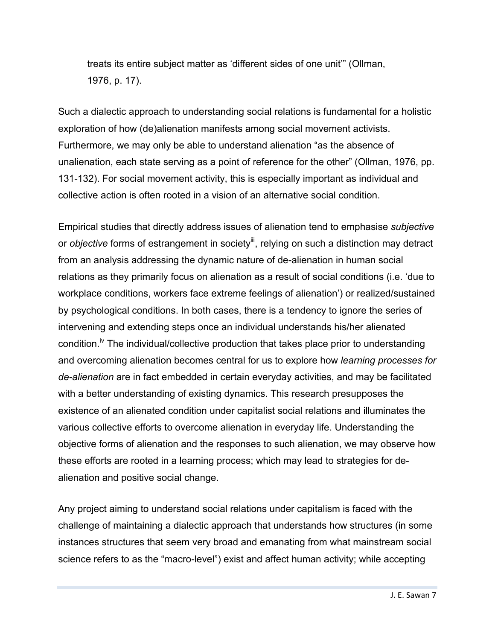treats its entire subject matter as 'different sides of one unit'" (Ollman, 1976, p. 17).

Such a dialectic approach to understanding social relations is fundamental for a holistic exploration of how (de)alienation manifests among social movement activists. Furthermore, we may only be able to understand alienation "as the absence of unalienation, each state serving as a point of reference for the other" (Ollman, 1976, pp. 131-132). For social movement activity, this is especially important as individual and collective action is often rooted in a vision of an alternative social condition.

Empirical studies that directly address issues of alienation tend to emphasise *subjective*  or *objective* forms of estrangement in society<sup>iii</sup>, relying on such a distinction may detract from an analysis addressing the dynamic nature of de-alienation in human social relations as they primarily focus on alienation as a result of social conditions (i.e. 'due to workplace conditions, workers face extreme feelings of alienation') or realized/sustained by psychological conditions. In both cases, there is a tendency to ignore the series of intervening and extending steps once an individual understands his/her alienated condition.<sup>iv</sup> The individual/collective production that takes place prior to understanding and overcoming alienation becomes central for us to explore how *learning processes for de-alienation* are in fact embedded in certain everyday activities, and may be facilitated with a better understanding of existing dynamics. This research presupposes the existence of an alienated condition under capitalist social relations and illuminates the various collective efforts to overcome alienation in everyday life. Understanding the objective forms of alienation and the responses to such alienation, we may observe how these efforts are rooted in a learning process; which may lead to strategies for dealienation and positive social change.

Any project aiming to understand social relations under capitalism is faced with the challenge of maintaining a dialectic approach that understands how structures (in some instances structures that seem very broad and emanating from what mainstream social science refers to as the "macro-level") exist and affect human activity; while accepting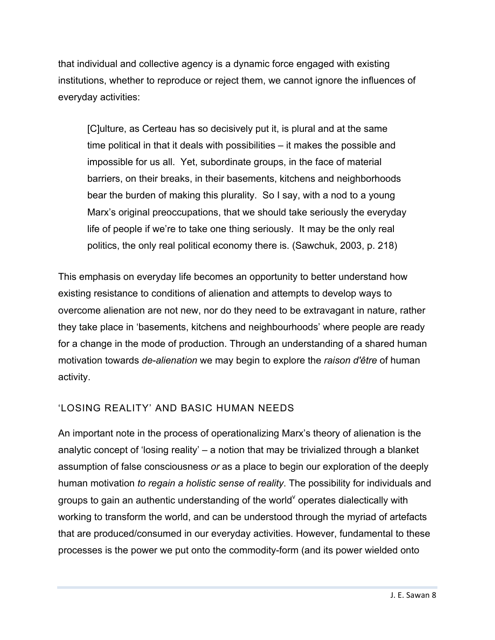that individual and collective agency is a dynamic force engaged with existing institutions, whether to reproduce or reject them, we cannot ignore the influences of everyday activities:

[C]ulture, as Certeau has so decisively put it, is plural and at the same time political in that it deals with possibilities – it makes the possible and impossible for us all. Yet, subordinate groups, in the face of material barriers, on their breaks, in their basements, kitchens and neighborhoods bear the burden of making this plurality. So I say, with a nod to a young Marx's original preoccupations, that we should take seriously the everyday life of people if we're to take one thing seriously. It may be the only real politics, the only real political economy there is. (Sawchuk, 2003, p. 218)

This emphasis on everyday life becomes an opportunity to better understand how existing resistance to conditions of alienation and attempts to develop ways to overcome alienation are not new, nor do they need to be extravagant in nature, rather they take place in 'basements, kitchens and neighbourhoods' where people are ready for a change in the mode of production. Through an understanding of a shared human motivation towards *de-alienation* we may begin to explore the *raison d'être* of human activity.

#### 'LOSING REALITY' AND BASIC HUMAN NEEDS

An important note in the process of operationalizing Marx's theory of alienation is the analytic concept of 'losing reality' – a notion that may be trivialized through a blanket assumption of false consciousness *or* as a place to begin our exploration of the deeply human motivation *to regain a holistic sense of reality*. The possibility for individuals and groups to gain an authentic understanding of the world<sup>v</sup> operates dialectically with working to transform the world, and can be understood through the myriad of artefacts that are produced/consumed in our everyday activities. However, fundamental to these processes is the power we put onto the commodity-form (and its power wielded onto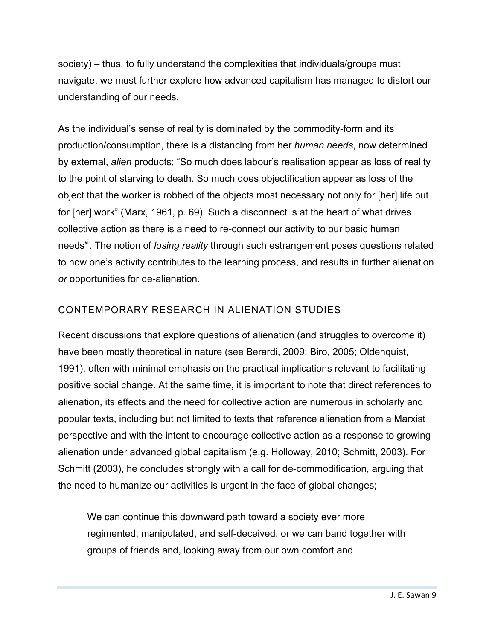society) – thus, to fully understand the complexities that individuals/groups must navigate, we must further explore how advanced capitalism has managed to distort our understanding of our needs.

As the individual's sense of reality is dominated by the commodity-form and its production/consumption, there is a distancing from her *human needs*, now determined by external, *alien* products; "So much does labour's realisation appear as loss of reality to the point of starving to death. So much does objectification appear as loss of the object that the worker is robbed of the objects most necessary not only for [her] life but for [her] work" (Marx, 1961, p. 69). Such a disconnect is at the heart of what drives collective action as there is a need to re-connect our activity to our basic human needs<sup>vi</sup>. The notion of *losing reality* through such estrangement poses questions related to how one's activity contributes to the learning process, and results in further alienation *or* opportunities for de-alienation.

#### CONTEMPORARY RESEARCH IN ALIENATION STUDIES

Recent discussions that explore questions of alienation (and struggles to overcome it) have been mostly theoretical in nature (see Berardi, 2009; Biro, 2005; Oldenquist, 1991), often with minimal emphasis on the practical implications relevant to facilitating positive social change. At the same time, it is important to note that direct references to alienation, its effects and the need for collective action are numerous in scholarly and popular texts, including but not limited to texts that reference alienation from a Marxist perspective and with the intent to encourage collective action as a response to growing alienation under advanced global capitalism (e.g. Holloway, 2010; Schmitt, 2003). For Schmitt (2003), he concludes strongly with a call for de-commodification, arguing that the need to humanize our activities is urgent in the face of global changes;

We can continue this downward path toward a society ever more regimented, manipulated, and self-deceived, or we can band together with groups of friends and, looking away from our own comfort and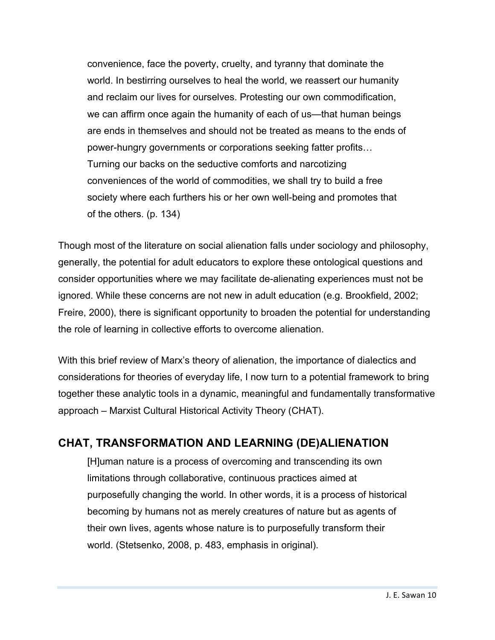convenience, face the poverty, cruelty, and tyranny that dominate the world. In bestirring ourselves to heal the world, we reassert our humanity and reclaim our lives for ourselves. Protesting our own commodification, we can affirm once again the humanity of each of us—that human beings are ends in themselves and should not be treated as means to the ends of power-hungry governments or corporations seeking fatter profits… Turning our backs on the seductive comforts and narcotizing conveniences of the world of commodities, we shall try to build a free society where each furthers his or her own well-being and promotes that of the others. (p. 134)

Though most of the literature on social alienation falls under sociology and philosophy, generally, the potential for adult educators to explore these ontological questions and consider opportunities where we may facilitate de-alienating experiences must not be ignored. While these concerns are not new in adult education (e.g. Brookfield, 2002; Freire, 2000), there is significant opportunity to broaden the potential for understanding the role of learning in collective efforts to overcome alienation.

With this brief review of Marx's theory of alienation, the importance of dialectics and considerations for theories of everyday life, I now turn to a potential framework to bring together these analytic tools in a dynamic, meaningful and fundamentally transformative approach – Marxist Cultural Historical Activity Theory (CHAT).

#### **CHAT, TRANSFORMATION AND LEARNING (DE)ALIENATION**

[H]uman nature is a process of overcoming and transcending its own limitations through collaborative, continuous practices aimed at purposefully changing the world. In other words, it is a process of historical becoming by humans not as merely creatures of nature but as agents of their own lives, agents whose nature is to purposefully transform their world. (Stetsenko, 2008, p. 483, emphasis in original).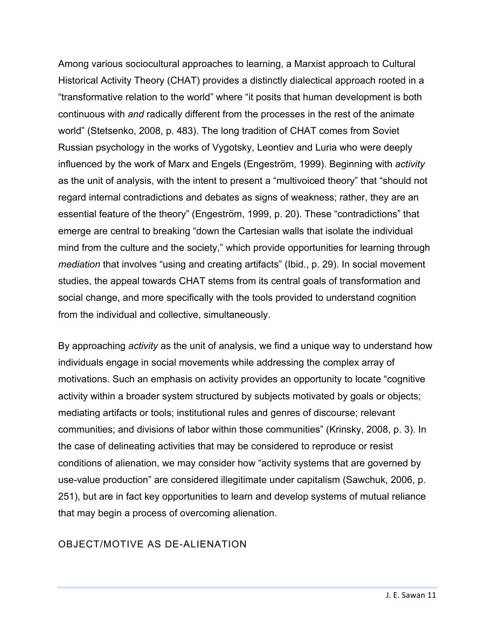Among various sociocultural approaches to learning, a Marxist approach to Cultural Historical Activity Theory (CHAT) provides a distinctly dialectical approach rooted in a "transformative relation to the world" where "it posits that human development is both continuous with *and* radically different from the processes in the rest of the animate world" (Stetsenko, 2008, p. 483). The long tradition of CHAT comes from Soviet Russian psychology in the works of Vygotsky, Leontiev and Luria who were deeply influenced by the work of Marx and Engels (Engeström, 1999). Beginning with *activity* as the unit of analysis, with the intent to present a "multivoiced theory" that "should not regard internal contradictions and debates as signs of weakness; rather, they are an essential feature of the theory" (Engeström, 1999, p. 20). These "contradictions" that emerge are central to breaking "down the Cartesian walls that isolate the individual mind from the culture and the society," which provide opportunities for learning through *mediation* that involves "using and creating artifacts" (Ibid., p. 29). In social movement studies, the appeal towards CHAT stems from its central goals of transformation and social change, and more specifically with the tools provided to understand cognition from the individual and collective, simultaneously.

By approaching *activity* as the unit of analysis, we find a unique way to understand how individuals engage in social movements while addressing the complex array of motivations. Such an emphasis on activity provides an opportunity to locate "cognitive activity within a broader system structured by subjects motivated by goals or objects; mediating artifacts or tools; institutional rules and genres of discourse; relevant communities; and divisions of labor within those communities" (Krinsky, 2008, p. 3). In the case of delineating activities that may be considered to reproduce or resist conditions of alienation, we may consider how "activity systems that are governed by use-value production" are considered illegitimate under capitalism (Sawchuk, 2006, p. 251), but are in fact key opportunities to learn and develop systems of mutual reliance that may begin a process of overcoming alienation.

#### OBJECT/MOTIVE AS DE-ALIENATION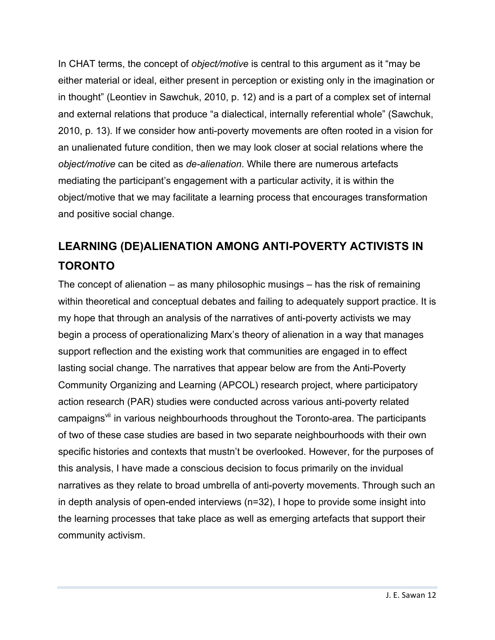In CHAT terms, the concept of *object/motive* is central to this argument as it "may be either material or ideal, either present in perception or existing only in the imagination or in thought" (Leontiev in Sawchuk, 2010, p. 12) and is a part of a complex set of internal and external relations that produce "a dialectical, internally referential whole" (Sawchuk, 2010, p. 13). If we consider how anti-poverty movements are often rooted in a vision for an unalienated future condition, then we may look closer at social relations where the *object/motive* can be cited as *de-alienation*. While there are numerous artefacts mediating the participant's engagement with a particular activity, it is within the object/motive that we may facilitate a learning process that encourages transformation and positive social change.

## **LEARNING (DE)ALIENATION AMONG ANTI-POVERTY ACTIVISTS IN TORONTO**

The concept of alienation – as many philosophic musings – has the risk of remaining within theoretical and conceptual debates and failing to adequately support practice. It is my hope that through an analysis of the narratives of anti-poverty activists we may begin a process of operationalizing Marx's theory of alienation in a way that manages support reflection and the existing work that communities are engaged in to effect lasting social change. The narratives that appear below are from the Anti-Poverty Community Organizing and Learning (APCOL) research project, where participatory action research (PAR) studies were conducted across various anti-poverty related campaigns<sup>vii</sup> in various neighbourhoods throughout the Toronto-area. The participants of two of these case studies are based in two separate neighbourhoods with their own specific histories and contexts that mustn't be overlooked. However, for the purposes of this analysis, I have made a conscious decision to focus primarily on the invidual narratives as they relate to broad umbrella of anti-poverty movements. Through such an in depth analysis of open-ended interviews (n=32), I hope to provide some insight into the learning processes that take place as well as emerging artefacts that support their community activism.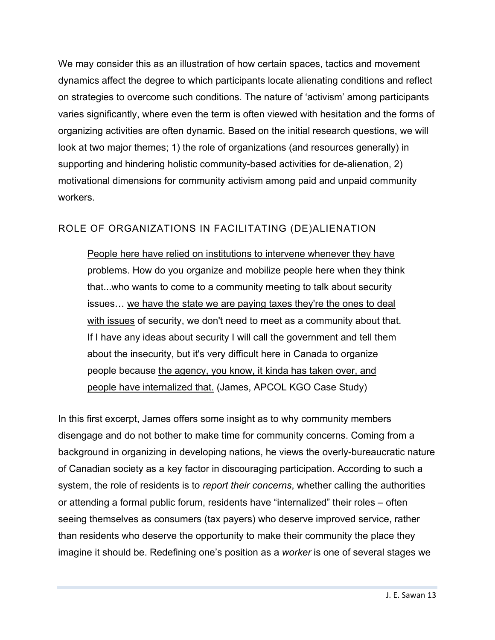We may consider this as an illustration of how certain spaces, tactics and movement dynamics affect the degree to which participants locate alienating conditions and reflect on strategies to overcome such conditions. The nature of 'activism' among participants varies significantly, where even the term is often viewed with hesitation and the forms of organizing activities are often dynamic. Based on the initial research questions, we will look at two major themes; 1) the role of organizations (and resources generally) in supporting and hindering holistic community-based activities for de-alienation, 2) motivational dimensions for community activism among paid and unpaid community workers.

#### ROLE OF ORGANIZATIONS IN FACILITATING (DE)ALIENATION

People here have relied on institutions to intervene whenever they have problems. How do you organize and mobilize people here when they think that...who wants to come to a community meeting to talk about security issues… we have the state we are paying taxes they're the ones to deal with issues of security, we don't need to meet as a community about that. If I have any ideas about security I will call the government and tell them about the insecurity, but it's very difficult here in Canada to organize people because the agency, you know, it kinda has taken over, and people have internalized that. (James, APCOL KGO Case Study)

In this first excerpt, James offers some insight as to why community members disengage and do not bother to make time for community concerns. Coming from a background in organizing in developing nations, he views the overly-bureaucratic nature of Canadian society as a key factor in discouraging participation. According to such a system, the role of residents is to *report their concerns*, whether calling the authorities or attending a formal public forum, residents have "internalized" their roles – often seeing themselves as consumers (tax payers) who deserve improved service, rather than residents who deserve the opportunity to make their community the place they imagine it should be. Redefining one's position as a *worker* is one of several stages we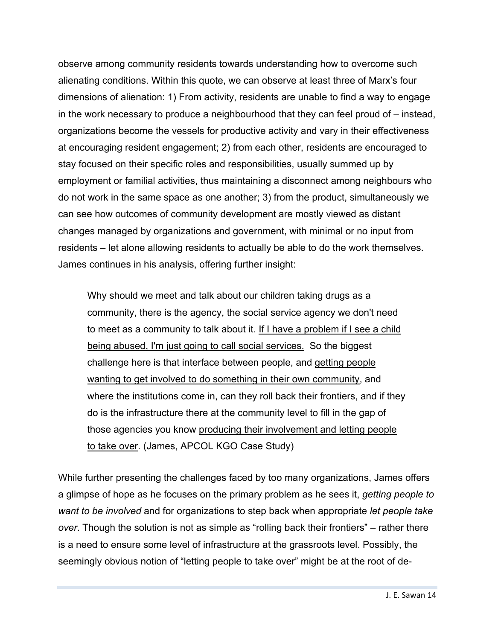observe among community residents towards understanding how to overcome such alienating conditions. Within this quote, we can observe at least three of Marx's four dimensions of alienation: 1) From activity, residents are unable to find a way to engage in the work necessary to produce a neighbourhood that they can feel proud of – instead, organizations become the vessels for productive activity and vary in their effectiveness at encouraging resident engagement; 2) from each other, residents are encouraged to stay focused on their specific roles and responsibilities, usually summed up by employment or familial activities, thus maintaining a disconnect among neighbours who do not work in the same space as one another; 3) from the product, simultaneously we can see how outcomes of community development are mostly viewed as distant changes managed by organizations and government, with minimal or no input from residents – let alone allowing residents to actually be able to do the work themselves. James continues in his analysis, offering further insight:

Why should we meet and talk about our children taking drugs as a community, there is the agency, the social service agency we don't need to meet as a community to talk about it. If I have a problem if I see a child being abused, I'm just going to call social services. So the biggest challenge here is that interface between people, and getting people wanting to get involved to do something in their own community, and where the institutions come in, can they roll back their frontiers, and if they do is the infrastructure there at the community level to fill in the gap of those agencies you know producing their involvement and letting people to take over. (James, APCOL KGO Case Study)

While further presenting the challenges faced by too many organizations, James offers a glimpse of hope as he focuses on the primary problem as he sees it, *getting people to want to be involved* and for organizations to step back when appropriate *let people take over*. Though the solution is not as simple as "rolling back their frontiers" – rather there is a need to ensure some level of infrastructure at the grassroots level. Possibly, the seemingly obvious notion of "letting people to take over" might be at the root of de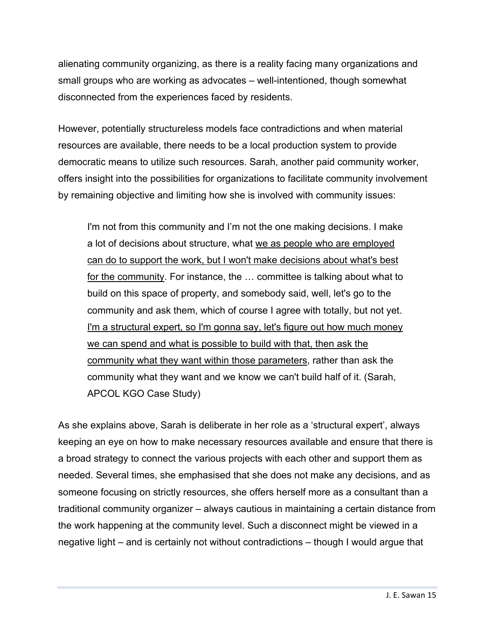alienating community organizing, as there is a reality facing many organizations and small groups who are working as advocates – well-intentioned, though somewhat disconnected from the experiences faced by residents.

However, potentially structureless models face contradictions and when material resources are available, there needs to be a local production system to provide democratic means to utilize such resources. Sarah, another paid community worker, offers insight into the possibilities for organizations to facilitate community involvement by remaining objective and limiting how she is involved with community issues:

I'm not from this community and I'm not the one making decisions. I make a lot of decisions about structure, what we as people who are employed can do to support the work, but I won't make decisions about what's best for the community. For instance, the … committee is talking about what to build on this space of property, and somebody said, well, let's go to the community and ask them, which of course I agree with totally, but not yet. I'm a structural expert, so I'm gonna say, let's figure out how much money we can spend and what is possible to build with that, then ask the community what they want within those parameters, rather than ask the community what they want and we know we can't build half of it. (Sarah, APCOL KGO Case Study)

As she explains above, Sarah is deliberate in her role as a 'structural expert', always keeping an eye on how to make necessary resources available and ensure that there is a broad strategy to connect the various projects with each other and support them as needed. Several times, she emphasised that she does not make any decisions, and as someone focusing on strictly resources, she offers herself more as a consultant than a traditional community organizer – always cautious in maintaining a certain distance from the work happening at the community level. Such a disconnect might be viewed in a negative light – and is certainly not without contradictions – though I would argue that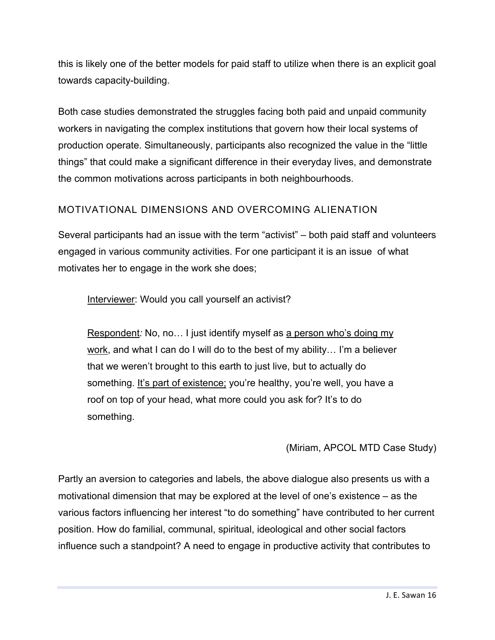this is likely one of the better models for paid staff to utilize when there is an explicit goal towards capacity-building.

Both case studies demonstrated the struggles facing both paid and unpaid community workers in navigating the complex institutions that govern how their local systems of production operate. Simultaneously, participants also recognized the value in the "little things" that could make a significant difference in their everyday lives, and demonstrate the common motivations across participants in both neighbourhoods.

#### MOTIVATIONAL DIMENSIONS AND OVERCOMING ALIENATION

Several participants had an issue with the term "activist" – both paid staff and volunteers engaged in various community activities. For one participant it is an issue of what motivates her to engage in the work she does;

Interviewer: Would you call yourself an activist?

Respondent: No, no... I just identify myself as a person who's doing my work, and what I can do I will do to the best of my ability… I'm a believer that we weren't brought to this earth to just live, but to actually do something. It's part of existence; you're healthy, you're well, you have a roof on top of your head, what more could you ask for? It's to do something.

#### (Miriam, APCOL MTD Case Study)

Partly an aversion to categories and labels, the above dialogue also presents us with a motivational dimension that may be explored at the level of one's existence – as the various factors influencing her interest "to do something" have contributed to her current position. How do familial, communal, spiritual, ideological and other social factors influence such a standpoint? A need to engage in productive activity that contributes to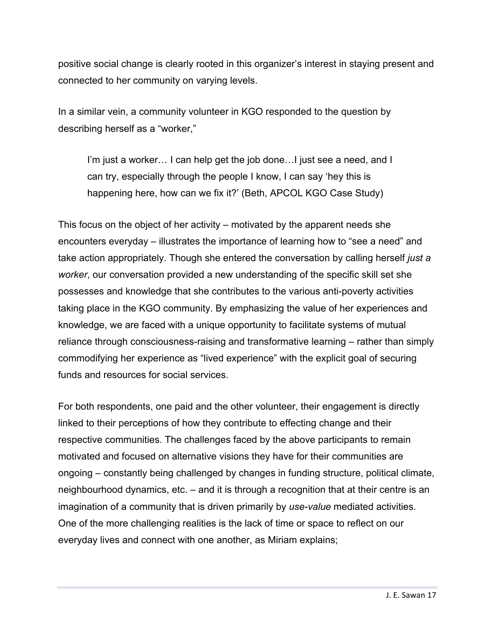positive social change is clearly rooted in this organizer's interest in staying present and connected to her community on varying levels.

In a similar vein, a community volunteer in KGO responded to the question by describing herself as a "worker,"

I'm just a worker... I can help get the job done... I just see a need, and I can try, especially through the people I know, I can say 'hey this is happening here, how can we fix it?' (Beth, APCOL KGO Case Study)

This focus on the object of her activity – motivated by the apparent needs she encounters everyday – illustrates the importance of learning how to "see a need" and take action appropriately. Though she entered the conversation by calling herself *just a worker*, our conversation provided a new understanding of the specific skill set she possesses and knowledge that she contributes to the various anti-poverty activities taking place in the KGO community. By emphasizing the value of her experiences and knowledge, we are faced with a unique opportunity to facilitate systems of mutual reliance through consciousness-raising and transformative learning – rather than simply commodifying her experience as "lived experience" with the explicit goal of securing funds and resources for social services.

For both respondents, one paid and the other volunteer, their engagement is directly linked to their perceptions of how they contribute to effecting change and their respective communities. The challenges faced by the above participants to remain motivated and focused on alternative visions they have for their communities are ongoing – constantly being challenged by changes in funding structure, political climate, neighbourhood dynamics, etc. – and it is through a recognition that at their centre is an imagination of a community that is driven primarily by *use-value* mediated activities. One of the more challenging realities is the lack of time or space to reflect on our everyday lives and connect with one another, as Miriam explains;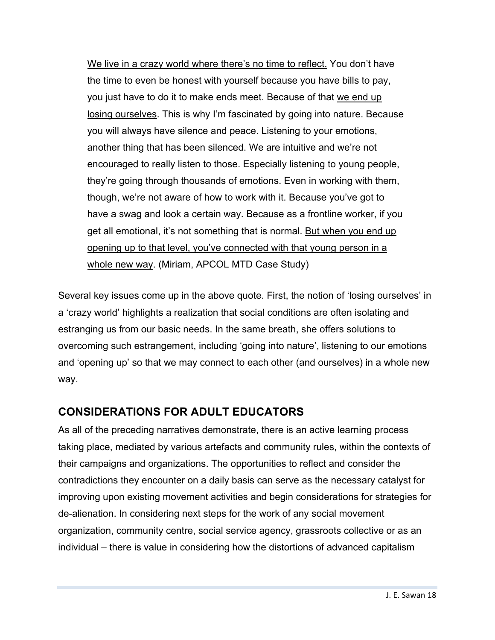We live in a crazy world where there's no time to reflect. You don't have the time to even be honest with yourself because you have bills to pay, you just have to do it to make ends meet. Because of that we end up losing ourselves. This is why I'm fascinated by going into nature. Because you will always have silence and peace. Listening to your emotions, another thing that has been silenced. We are intuitive and we're not encouraged to really listen to those. Especially listening to young people, they're going through thousands of emotions. Even in working with them, though, we're not aware of how to work with it. Because you've got to have a swag and look a certain way. Because as a frontline worker, if you get all emotional, it's not something that is normal. But when you end up opening up to that level, you've connected with that young person in a whole new way. (Miriam, APCOL MTD Case Study)

Several key issues come up in the above quote. First, the notion of 'losing ourselves' in a 'crazy world' highlights a realization that social conditions are often isolating and estranging us from our basic needs. In the same breath, she offers solutions to overcoming such estrangement, including 'going into nature', listening to our emotions and 'opening up' so that we may connect to each other (and ourselves) in a whole new way.

#### **CONSIDERATIONS FOR ADULT EDUCATORS**

As all of the preceding narratives demonstrate, there is an active learning process taking place, mediated by various artefacts and community rules, within the contexts of their campaigns and organizations. The opportunities to reflect and consider the contradictions they encounter on a daily basis can serve as the necessary catalyst for improving upon existing movement activities and begin considerations for strategies for de-alienation. In considering next steps for the work of any social movement organization, community centre, social service agency, grassroots collective or as an individual – there is value in considering how the distortions of advanced capitalism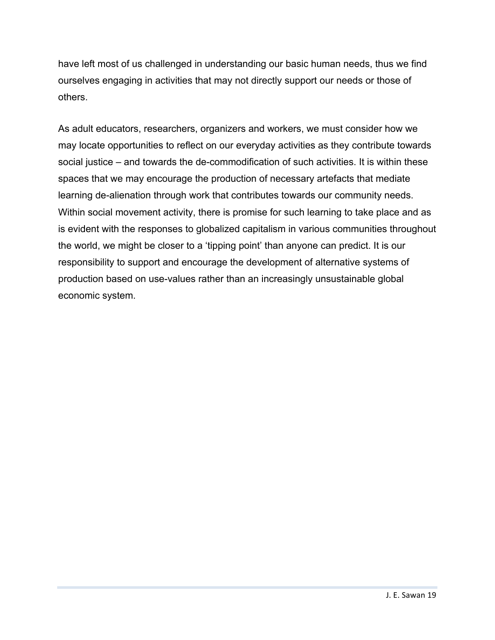have left most of us challenged in understanding our basic human needs, thus we find ourselves engaging in activities that may not directly support our needs or those of others.

As adult educators, researchers, organizers and workers, we must consider how we may locate opportunities to reflect on our everyday activities as they contribute towards social justice – and towards the de-commodification of such activities. It is within these spaces that we may encourage the production of necessary artefacts that mediate learning de-alienation through work that contributes towards our community needs. Within social movement activity, there is promise for such learning to take place and as is evident with the responses to globalized capitalism in various communities throughout the world, we might be closer to a 'tipping point' than anyone can predict. It is our responsibility to support and encourage the development of alternative systems of production based on use-values rather than an increasingly unsustainable global economic system.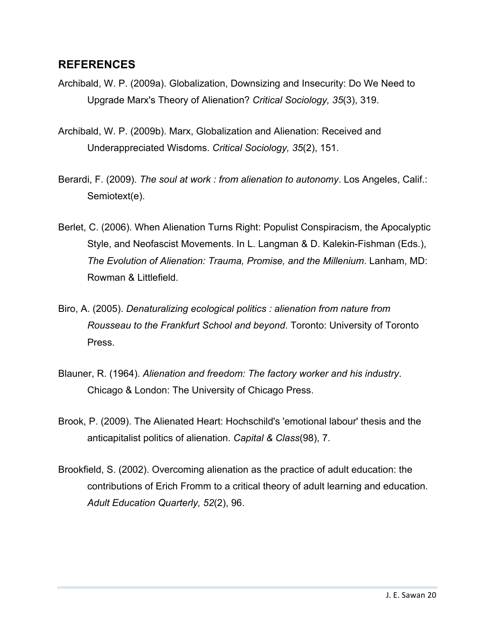#### **REFERENCES**

- Archibald, W. P. (2009a). Globalization, Downsizing and Insecurity: Do We Need to Upgrade Marx's Theory of Alienation? *Critical Sociology, 35*(3), 319.
- Archibald, W. P. (2009b). Marx, Globalization and Alienation: Received and Underappreciated Wisdoms. *Critical Sociology, 35*(2), 151.
- Berardi, F. (2009). *The soul at work : from alienation to autonomy*. Los Angeles, Calif.: Semiotext(e).
- Berlet, C. (2006). When Alienation Turns Right: Populist Conspiracism, the Apocalyptic Style, and Neofascist Movements. In L. Langman & D. Kalekin-Fishman (Eds.), *The Evolution of Alienation: Trauma, Promise, and the Millenium*. Lanham, MD: Rowman & Littlefield.
- Biro, A. (2005). *Denaturalizing ecological politics : alienation from nature from Rousseau to the Frankfurt School and beyond*. Toronto: University of Toronto Press.
- Blauner, R. (1964). *Alienation and freedom: The factory worker and his industry*. Chicago & London: The University of Chicago Press.
- Brook, P. (2009). The Alienated Heart: Hochschild's 'emotional labour' thesis and the anticapitalist politics of alienation. *Capital & Class*(98), 7.
- Brookfield, S. (2002). Overcoming alienation as the practice of adult education: the contributions of Erich Fromm to a critical theory of adult learning and education. *Adult Education Quarterly, 52*(2), 96.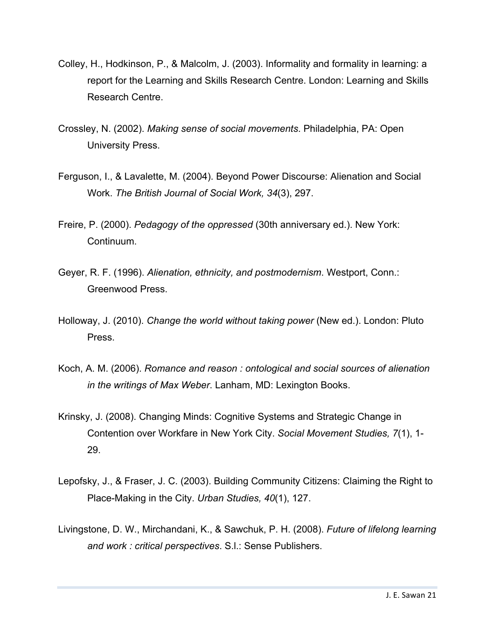- Colley, H., Hodkinson, P., & Malcolm, J. (2003). Informality and formality in learning: a report for the Learning and Skills Research Centre. London: Learning and Skills Research Centre.
- Crossley, N. (2002). *Making sense of social movements*. Philadelphia, PA: Open University Press.
- Ferguson, I., & Lavalette, M. (2004). Beyond Power Discourse: Alienation and Social Work. *The British Journal of Social Work, 34*(3), 297.
- Freire, P. (2000). *Pedagogy of the oppressed* (30th anniversary ed.). New York: Continuum.
- Geyer, R. F. (1996). *Alienation, ethnicity, and postmodernism*. Westport, Conn.: Greenwood Press.
- Holloway, J. (2010). *Change the world without taking power* (New ed.). London: Pluto Press.
- Koch, A. M. (2006). *Romance and reason : ontological and social sources of alienation in the writings of Max Weber*. Lanham, MD: Lexington Books.
- Krinsky, J. (2008). Changing Minds: Cognitive Systems and Strategic Change in Contention over Workfare in New York City. *Social Movement Studies, 7*(1), 1- 29.
- Lepofsky, J., & Fraser, J. C. (2003). Building Community Citizens: Claiming the Right to Place-Making in the City. *Urban Studies, 40*(1), 127.
- Livingstone, D. W., Mirchandani, K., & Sawchuk, P. H. (2008). *Future of lifelong learning and work : critical perspectives*. S.l.: Sense Publishers.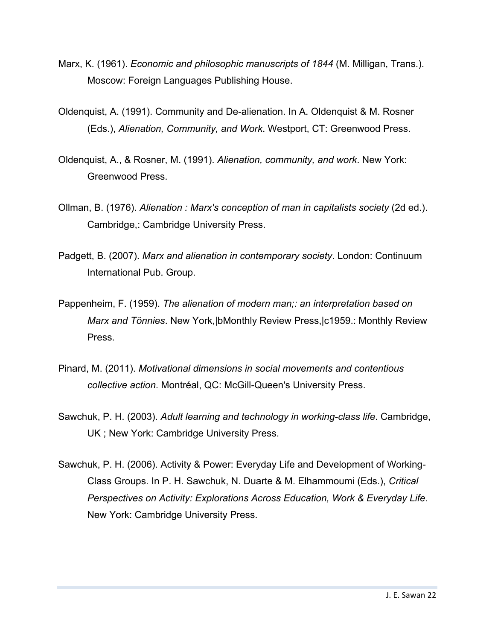- Marx, K. (1961). *Economic and philosophic manuscripts of 1844* (M. Milligan, Trans.). Moscow: Foreign Languages Publishing House.
- Oldenquist, A. (1991). Community and De-alienation. In A. Oldenquist & M. Rosner (Eds.), *Alienation, Community, and Work*. Westport, CT: Greenwood Press.
- Oldenquist, A., & Rosner, M. (1991). *Alienation, community, and work*. New York: Greenwood Press.
- Ollman, B. (1976). *Alienation : Marx's conception of man in capitalists society* (2d ed.). Cambridge,: Cambridge University Press.
- Padgett, B. (2007). *Marx and alienation in contemporary society*. London: Continuum International Pub. Group.
- Pappenheim, F. (1959). *The alienation of modern man;: an interpretation based on Marx and Tönnies*. New York,|bMonthly Review Press,|c1959.: Monthly Review Press.
- Pinard, M. (2011). *Motivational dimensions in social movements and contentious collective action*. Montréal, QC: McGill-Queen's University Press.
- Sawchuk, P. H. (2003). *Adult learning and technology in working-class life*. Cambridge, UK ; New York: Cambridge University Press.
- Sawchuk, P. H. (2006). Activity & Power: Everyday Life and Development of Working-Class Groups. In P. H. Sawchuk, N. Duarte & M. Elhammoumi (Eds.), *Critical Perspectives on Activity: Explorations Across Education, Work & Everyday Life*. New York: Cambridge University Press.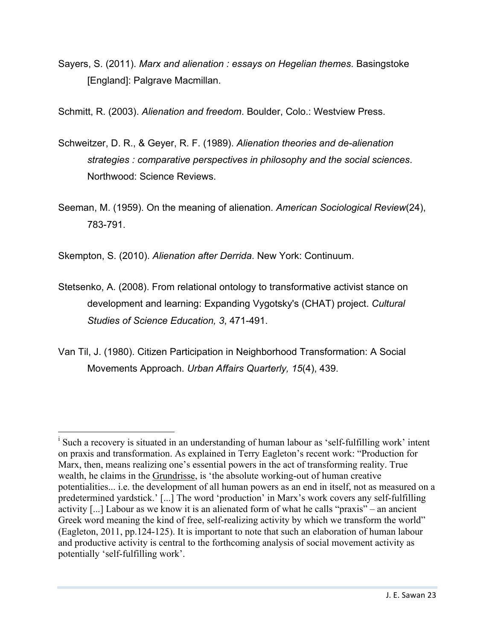Sayers, S. (2011). *Marx and alienation : essays on Hegelian themes*. Basingstoke [England]: Palgrave Macmillan.

Schmitt, R. (2003). *Alienation and freedom*. Boulder, Colo.: Westview Press.

- Schweitzer, D. R., & Geyer, R. F. (1989). *Alienation theories and de-alienation strategies : comparative perspectives in philosophy and the social sciences*. Northwood: Science Reviews.
- Seeman, M. (1959). On the meaning of alienation. *American Sociological Review*(24), 783-791.

Skempton, S. (2010). *Alienation after Derrida*. New York: Continuum.

- Stetsenko, A. (2008). From relational ontology to transformative activist stance on development and learning: Expanding Vygotsky's (CHAT) project. *Cultural Studies of Science Education, 3*, 471-491.
- Van Til, J. (1980). Citizen Participation in Neighborhood Transformation: A Social Movements Approach. *Urban Affairs Quarterly, 15*(4), 439.

i Such a recovery is situated in an understanding of human labour as 'self-fulfilling work' intent on praxis and transformation. As explained in Terry Eagleton's recent work: "Production for Marx, then, means realizing one's essential powers in the act of transforming reality. True wealth, he claims in the Grundrisse, is 'the absolute working-out of human creative potentialities... i.e. the development of all human powers as an end in itself, not as measured on a predetermined yardstick.' [...] The word 'production' in Marx's work covers any self-fulfilling activity [...] Labour as we know it is an alienated form of what he calls "praxis" – an ancient Greek word meaning the kind of free, self-realizing activity by which we transform the world" (Eagleton, 2011, pp.124-125). It is important to note that such an elaboration of human labour and productive activity is central to the forthcoming analysis of social movement activity as potentially 'self-fulfilling work'.